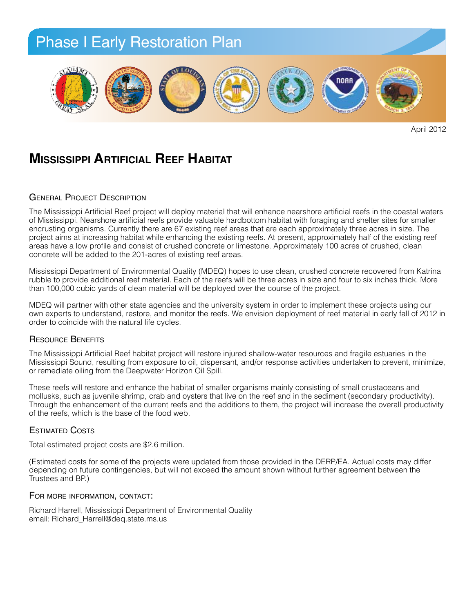

April 2012

## **Mississippi Artificial Reef Habitat**

### GENERAL PROJECT DESCRIPTION

of Mississippi. Nearshore artificial reefs provide valuable hardbottom habitat with foraging and shelter sites for smaller project aims at increasing habitat while enhancing the existing reefs. At present, approximately filter actes in size: The areas have a low profile and consist of crushed concrete or limestone. Approximately 100 acres of crushed, clean concrete will be added to the 201-acres of existing reef areas. The Mississippi Artificial Reef project will deploy material that will enhance nearshore artificial reefs in the coastal waters encrusting organisms. Currently there are 67 existing reef areas that are each approximately three acres in size. The

Mississippi Department of Environmental Quality (MDEQ) hopes to use clean, crushed concrete recovered from Katrina rubble to provide additional reef material. Each of the reefs will be three acres in size and four to six inches thick. More than 100,000 cubic yards of clean material will be deployed over the course of the project.

MDEQ will partner with other state agencies and the university system in order to implement these projects using our own experts to understand, restore, and monitor the reefs. We envision deployment of reef material in early fall of 2012 in<br>erder to esineide with the potural life aveles The proposed will help prevent in a coastline shoreline, a coastline, a coastline,  $\frac{1}{2}$  coastline protection by restoring shortline, and the coastline protection by coastline protection by coastline protection by coas order to coincide with the natural life cycles.

### **PLANTS AND RESOURCE BENEFITS**

The Mississippi Artificial Reef habitat project will restore injured shallow-water resources and fragile estuaries in the<br>Mississippi Raund resulting from avage we to all dispersent, and/ar response activities undertaken t or remediate oiling from the Deepwater Horizon Oil Spill. Mississippi Sound, resulting from exposure to oil, dispersant, and/or response activities undertaken to prevent, minimize,

• All plants will be grown from seeds or cuttings derived • For best sand stabilization and to These reets will restore and enhance the nabitat of smaller organisms mainly consisting of small crustaceans and<br>mollusks, such as juvenile shrimp, crab and oysters that live on the reef and in the sediment (secondary prod mondone, each as favoring entimp, stab and byctore that the on the rest and in the economic (ecocritatity productivity).<br>Through the enhancement of the current reefs and the additions to them, the project will increase the of the reefs, which is the base of the food web. tions: 70% Sea oats grasses; 20% These reefs will restore and enhance the habitat of smaller organisms mainly consisting of small crustaceans and

## Estimated Costs

Total estimated project costs are \$2.6 million.

moisture is available to roots, and properly covered with iated costs for some of the projects were up *Sand Fencing:* Trustees and BP.) (Estimated costs for some of the projects were updated from those provided in the DERP/EA. Actual costs may differ Learniated costs for some of the projects were apaated from those provided in the BERT JEA. Actual costs may am<br>depending on future contingencies, but will not exceed the amount shown without further agreement between the

## For more information, contact:

Richard Harrell, Mississippi Department of Environmental Quality *Signage:* email: Richard\_Harrell@deq.state.ms.us